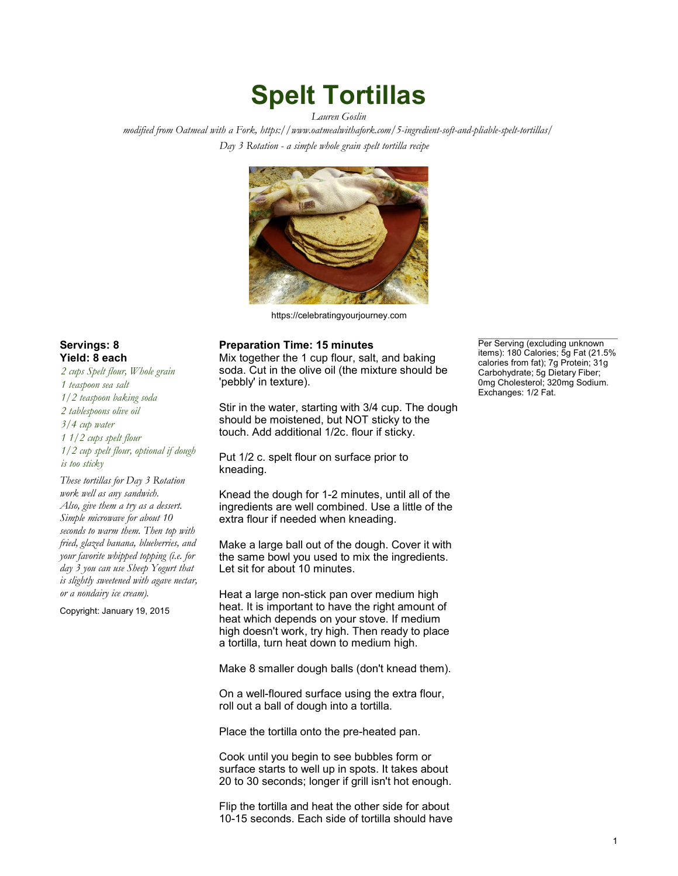## Spelt Tortillas

Lauren Goslin

modified from Oatmeal with a Fork, <https://www.oatmealwithafork.com/5-ingredient-soft-and-pliable-spelt-tortillas/> Day 3 Rotation - a simple whole grain spelt tortilla recipe



<https://celebratingyourjourney.com>

## Servings: 8 **Preparation Time: 15 minutes** Preparation Time: 15 minutes

Yield: 8 each Mix together the 1 cup flour, salt, and baking soda. Cut in the olive oil (the mixture should be 'pebbly' in texture).

> Stir in the water, starting with 3/4 cup. The dough should be moistened, but NOT sticky to the touch. Add additional 1/2c. flour if sticky.

Put 1/2 c. spelt flour on surface prior to kneading.

Knead the dough for 1-2 minutes, until all of the ingredients are well combined. Use a little of the extra flour if needed when kneading.

Make a large ball out of the dough. Cover it with the same bowl you used to mix the ingredients. Let sit for about 10 minutes.

Heat a large non-stick pan over medium high heat. It is important to have the right amount of heat which depends on your stove. If medium high doesn't work, try high. Then ready to place a tortilla, turn heat down to medium high.

Make 8 smaller dough balls (don't knead them).

On a well-floured surface using the extra flour, roll out a ball of dough into a tortilla.

Place the tortilla onto the pre-heated pan.

Cook until you begin to see bubbles form or surface starts to well up in spots. It takes about 20 to 30 seconds; longer if grill isn't hot enough.

Flip the tortilla and heat the other side for about 10-15 seconds. Each side of tortilla should have Per Serving (excluding unknown<br>items): 180 Calories; 5g Fat (21.5% calories from fat); 7g Protein; 31g Carbohydrate; 5g Dietary Fiber; 0mg Cholesterol; 320mg Sodium. Exchanges: 1/2 Fat.

2 cups Spelt flour, Whole grain 1 teaspoon sea salt 1/2 teaspoon baking soda 2 tablespoons olive oil 3/4 cup water 1 1/2 cups spelt flour 1/2 cup spelt flour, optional if dough is too sticky These tortillas for Day 3 Rotation

work well as any sandwich. Also, give them a try as a dessert. Simple microwave for about 10 seconds to warm them. Then top with fried, glazed banana, blueberries, and your favorite whipped topping (i.e. for day 3 you can use Sheep Yogurt that is slightly sweetened with agave nectar, or a nondairy ice cream).

Copyright: January 19, 2015